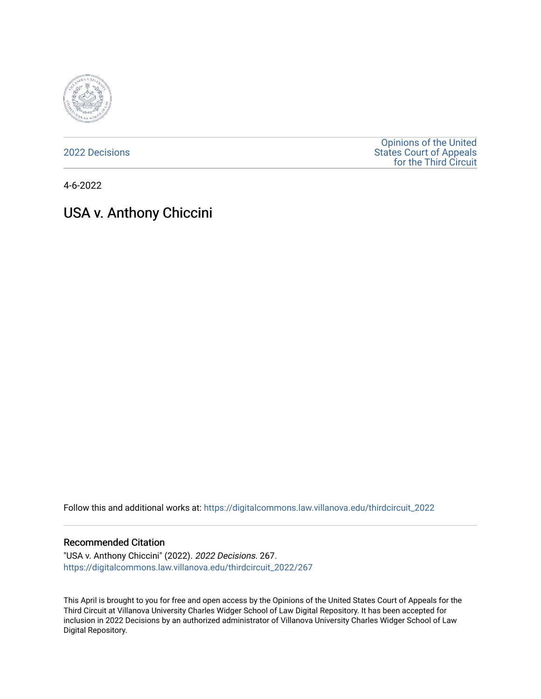

[2022 Decisions](https://digitalcommons.law.villanova.edu/thirdcircuit_2022)

[Opinions of the United](https://digitalcommons.law.villanova.edu/thirdcircuit)  [States Court of Appeals](https://digitalcommons.law.villanova.edu/thirdcircuit)  [for the Third Circuit](https://digitalcommons.law.villanova.edu/thirdcircuit) 

4-6-2022

# USA v. Anthony Chiccini

Follow this and additional works at: [https://digitalcommons.law.villanova.edu/thirdcircuit\\_2022](https://digitalcommons.law.villanova.edu/thirdcircuit_2022?utm_source=digitalcommons.law.villanova.edu%2Fthirdcircuit_2022%2F267&utm_medium=PDF&utm_campaign=PDFCoverPages) 

#### Recommended Citation

"USA v. Anthony Chiccini" (2022). 2022 Decisions. 267. [https://digitalcommons.law.villanova.edu/thirdcircuit\\_2022/267](https://digitalcommons.law.villanova.edu/thirdcircuit_2022/267?utm_source=digitalcommons.law.villanova.edu%2Fthirdcircuit_2022%2F267&utm_medium=PDF&utm_campaign=PDFCoverPages)

This April is brought to you for free and open access by the Opinions of the United States Court of Appeals for the Third Circuit at Villanova University Charles Widger School of Law Digital Repository. It has been accepted for inclusion in 2022 Decisions by an authorized administrator of Villanova University Charles Widger School of Law Digital Repository.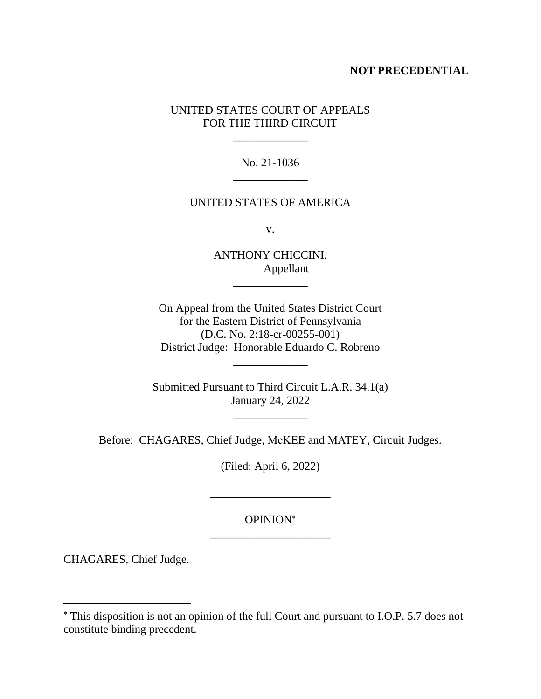## **NOT PRECEDENTIAL**

# UNITED STATES COURT OF APPEALS FOR THE THIRD CIRCUIT

\_\_\_\_\_\_\_\_\_\_\_\_\_

No. 21-1036 \_\_\_\_\_\_\_\_\_\_\_\_\_

### UNITED STATES OF AMERICA

v.

ANTHONY CHICCINI, Appellant

\_\_\_\_\_\_\_\_\_\_\_\_\_

On Appeal from the United States District Court for the Eastern District of Pennsylvania (D.C. No. 2:18-cr-00255-001) District Judge: Honorable Eduardo C. Robreno

\_\_\_\_\_\_\_\_\_\_\_\_\_

Submitted Pursuant to Third Circuit L.A.R. 34.1(a) January 24, 2022

 $\mathcal{L}=\mathcal{L}$ 

Before: CHAGARES, Chief Judge, McKEE and MATEY, Circuit Judges.

(Filed: April 6, 2022)

# OPINION \_\_\_\_\_\_\_\_\_\_\_\_\_\_\_\_\_\_\_\_\_

\_\_\_\_\_\_\_\_\_\_\_\_\_\_\_\_\_\_\_\_\_

CHAGARES, Chief Judge.

This disposition is not an opinion of the full Court and pursuant to I.O.P. 5.7 does not constitute binding precedent.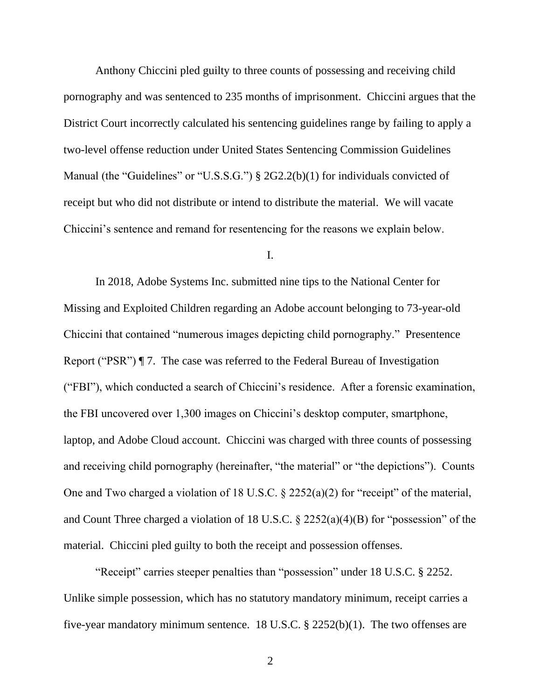Anthony Chiccini pled guilty to three counts of possessing and receiving child pornography and was sentenced to 235 months of imprisonment. Chiccini argues that the District Court incorrectly calculated his sentencing guidelines range by failing to apply a two-level offense reduction under United States Sentencing Commission Guidelines Manual (the "Guidelines" or "U.S.S.G.") § 2G2.2(b)(1) for individuals convicted of receipt but who did not distribute or intend to distribute the material. We will vacate Chiccini's sentence and remand for resentencing for the reasons we explain below.

I.

In 2018, Adobe Systems Inc. submitted nine tips to the National Center for Missing and Exploited Children regarding an Adobe account belonging to 73-year-old Chiccini that contained "numerous images depicting child pornography." Presentence Report ("PSR") ¶ 7. The case was referred to the Federal Bureau of Investigation ("FBI"), which conducted a search of Chiccini's residence. After a forensic examination, the FBI uncovered over 1,300 images on Chiccini's desktop computer, smartphone, laptop, and Adobe Cloud account. Chiccini was charged with three counts of possessing and receiving child pornography (hereinafter, "the material" or "the depictions"). Counts One and Two charged a violation of 18 U.S.C. § 2252(a)(2) for "receipt" of the material, and Count Three charged a violation of 18 U.S.C. § 2252(a)(4)(B) for "possession" of the material. Chiccini pled guilty to both the receipt and possession offenses.

"Receipt" carries steeper penalties than "possession" under 18 U.S.C. § 2252. Unlike simple possession, which has no statutory mandatory minimum, receipt carries a five-year mandatory minimum sentence. 18 U.S.C. § 2252(b)(1). The two offenses are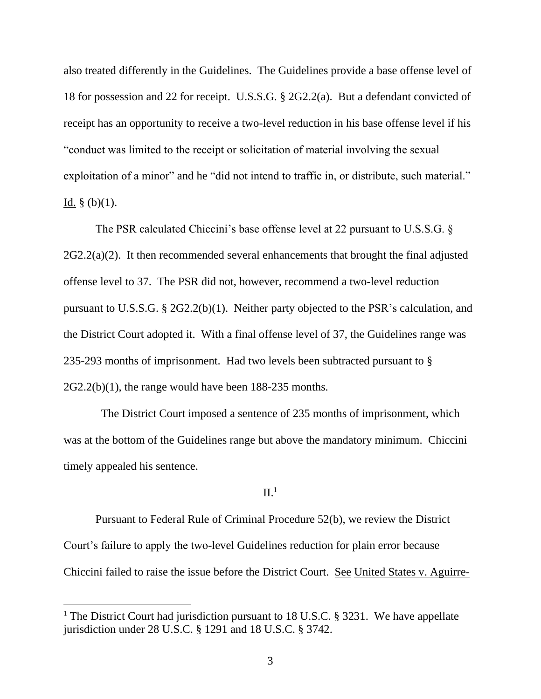also treated differently in the Guidelines. The Guidelines provide a base offense level of 18 for possession and 22 for receipt. U.S.S.G. § 2G2.2(a). But a defendant convicted of receipt has an opportunity to receive a two-level reduction in his base offense level if his "conduct was limited to the receipt or solicitation of material involving the sexual exploitation of a minor" and he "did not intend to traffic in, or distribute, such material." Id.  $\S$  (b)(1).

The PSR calculated Chiccini's base offense level at 22 pursuant to U.S.S.G. §  $2G2.2(a)(2)$ . It then recommended several enhancements that brought the final adjusted offense level to 37. The PSR did not, however, recommend a two-level reduction pursuant to U.S.S.G. § 2G2.2(b)(1). Neither party objected to the PSR's calculation, and the District Court adopted it. With a final offense level of 37, the Guidelines range was 235-293 months of imprisonment.Had two levels been subtracted pursuant to § 2G2.2(b)(1), the range would have been 188-235 months.

 The District Court imposed a sentence of 235 months of imprisonment, which was at the bottom of the Guidelines range but above the mandatory minimum. Chiccini timely appealed his sentence.

### $II.<sup>1</sup>$

Pursuant to Federal Rule of Criminal Procedure 52(b), we review the District Court's failure to apply the two-level Guidelines reduction for plain error because Chiccini failed to raise the issue before the District Court. See United States v. Aguirre-

<sup>&</sup>lt;sup>1</sup> The District Court had jurisdiction pursuant to 18 U.S.C. § 3231. We have appellate jurisdiction under 28 U.S.C. § 1291 and 18 U.S.C. § 3742.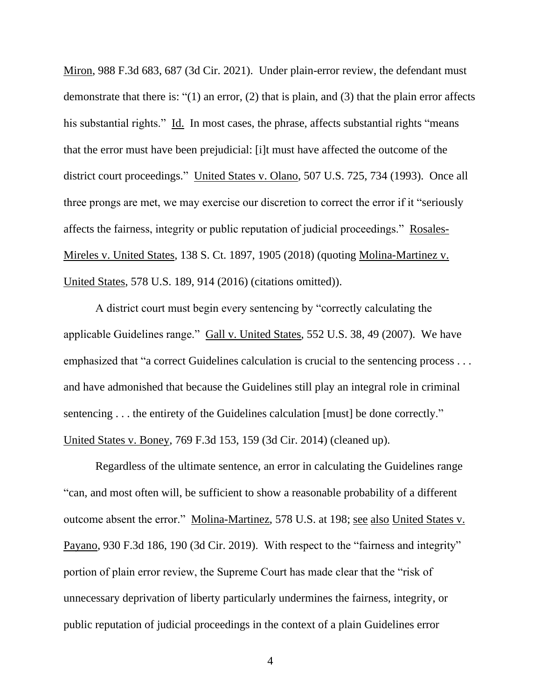Miron, 988 F.3d 683, 687 (3d Cir. 2021). Under plain-error review, the defendant must demonstrate that there is: "(1) an error, (2) that is plain, and (3) that the plain error affects his substantial rights." Id. In most cases, the phrase, affects substantial rights "means" that the error must have been prejudicial: [i]t must have affected the outcome of the district court proceedings." United States v. Olano, 507 U.S. 725, 734 (1993). Once all three prongs are met, we may exercise our discretion to correct the error if it "seriously affects the fairness, integrity or public reputation of judicial proceedings." Rosales-Mireles v. United States, 138 S. Ct. 1897, 1905 (2018) (quoting Molina-Martinez v. United States, 578 U.S. 189, 914 (2016) (citations omitted)).

A district court must begin every sentencing by "correctly calculating the applicable Guidelines range." Gall v. United States, 552 U.S. 38, 49 (2007). We have emphasized that "a correct Guidelines calculation is crucial to the sentencing process . . . and have admonished that because the Guidelines still play an integral role in criminal sentencing . . . the entirety of the Guidelines calculation [must] be done correctly." United States v. Boney, 769 F.3d 153, 159 (3d Cir. 2014) (cleaned up).

Regardless of the ultimate sentence, an error in calculating the Guidelines range "can, and most often will, be sufficient to show a reasonable probability of a different outcome absent the error." Molina-Martinez, 578 U.S. at 198; see also United States v. Payano, 930 F.3d 186, 190 (3d Cir. 2019). With respect to the "fairness and integrity" portion of plain error review, the Supreme Court has made clear that the "risk of unnecessary deprivation of liberty particularly undermines the fairness, integrity, or public reputation of judicial proceedings in the context of a plain Guidelines error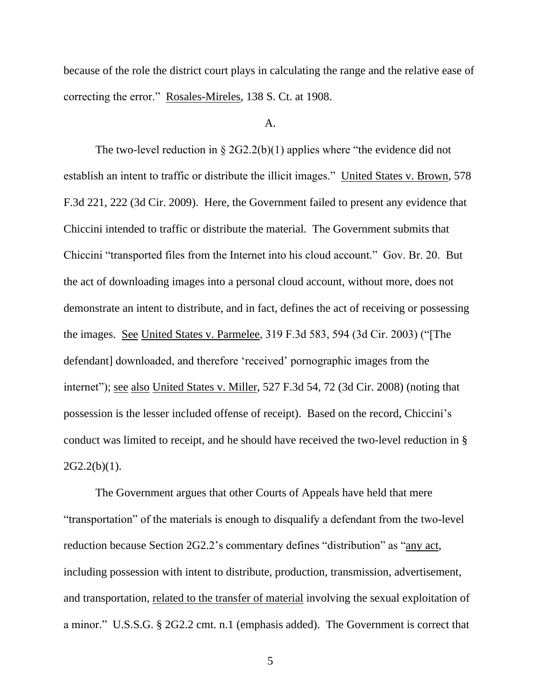because of the role the district court plays in calculating the range and the relative ease of correcting the error." Rosales-Mireles, 138 S. Ct. at 1908.

#### A.

The two-level reduction in § 2G2.2(b)(1) applies where "the evidence did not establish an intent to traffic or distribute the illicit images." United States v. Brown, 578 F.3d 221, 222 (3d Cir. 2009). Here, the Government failed to present any evidence that Chiccini intended to traffic or distribute the material. The Government submits that Chiccini "transported files from the Internet into his cloud account." Gov. Br. 20. But the act of downloading images into a personal cloud account, without more, does not demonstrate an intent to distribute, and in fact, defines the act of receiving or possessing the images. See United States v. Parmelee, 319 F.3d 583, 594 (3d Cir. 2003) ("[The defendant] downloaded, and therefore 'received' pornographic images from the internet"); see also United States v. Miller, 527 F.3d 54, 72 (3d Cir. 2008) (noting that possession is the lesser included offense of receipt). Based on the record, Chiccini's conduct was limited to receipt, and he should have received the two-level reduction in §  $2G2.2(b)(1)$ .

The Government argues that other Courts of Appeals have held that mere "transportation" of the materials is enough to disqualify a defendant from the two-level reduction because Section 2G2.2's commentary defines "distribution" as "any act, including possession with intent to distribute, production, transmission, advertisement, and transportation, related to the transfer of material involving the sexual exploitation of a minor." U.S.S.G. § 2G2.2 cmt. n.1 (emphasis added). The Government is correct that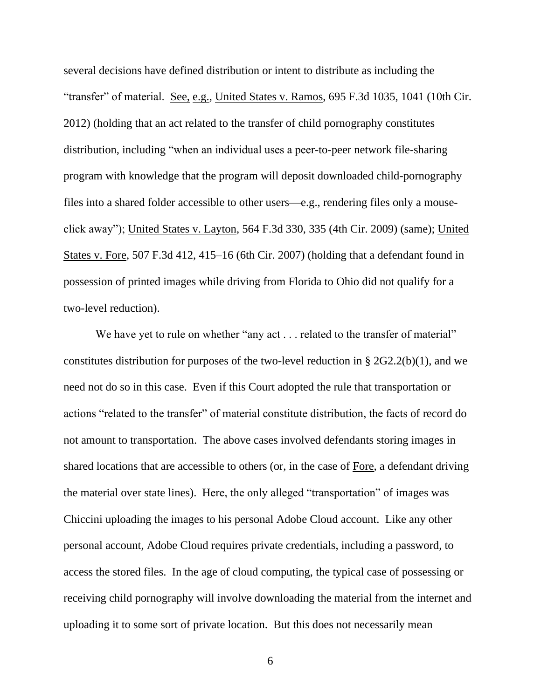several decisions have defined distribution or intent to distribute as including the "transfer" of material. See, e.g., United States v. Ramos, 695 F.3d 1035, 1041 (10th Cir. 2012) (holding that an act related to the transfer of child pornography constitutes distribution, including "when an individual uses a peer-to-peer network file-sharing program with knowledge that the program will deposit downloaded child-pornography files into a shared folder accessible to other users—e.g., rendering files only a mouseclick away"); United States v. Layton, 564 F.3d 330, 335 (4th Cir. 2009) (same); United States v. Fore, 507 F.3d 412, 415–16 (6th Cir. 2007) (holding that a defendant found in possession of printed images while driving from Florida to Ohio did not qualify for a two-level reduction).

We have yet to rule on whether "any act . . . related to the transfer of material" constitutes distribution for purposes of the two-level reduction in  $\S 2G2.2(b)(1)$ , and we need not do so in this case. Even if this Court adopted the rule that transportation or actions "related to the transfer" of material constitute distribution, the facts of record do not amount to transportation. The above cases involved defendants storing images in shared locations that are accessible to others (or, in the case of Fore, a defendant driving the material over state lines). Here, the only alleged "transportation" of images was Chiccini uploading the images to his personal Adobe Cloud account. Like any other personal account, Adobe Cloud requires private credentials, including a password, to access the stored files. In the age of cloud computing, the typical case of possessing or receiving child pornography will involve downloading the material from the internet and uploading it to some sort of private location. But this does not necessarily mean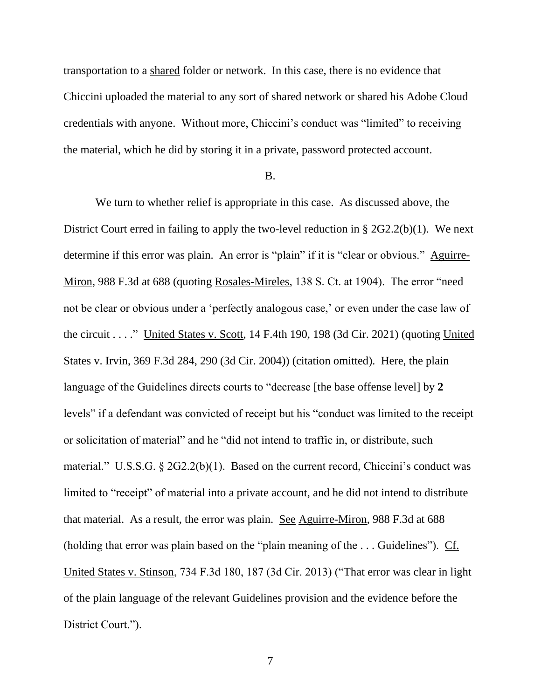transportation to a shared folder or network. In this case, there is no evidence that Chiccini uploaded the material to any sort of shared network or shared his Adobe Cloud credentials with anyone. Without more, Chiccini's conduct was "limited" to receiving the material, which he did by storing it in a private, password protected account.

### B.

We turn to whether relief is appropriate in this case. As discussed above, the District Court erred in failing to apply the two-level reduction in § 2G2.2(b)(1). We next determine if this error was plain. An error is "plain" if it is "clear or obvious." Aguirre-Miron, 988 F.3d at 688 (quoting Rosales-Mireles, 138 S. Ct. at 1904). The error "need not be clear or obvious under a 'perfectly analogous case,' or even under the case law of the circuit  $\ldots$ ." United States v. Scott, 14 F.4th 190, 198 (3d Cir. 2021) (quoting United States v. Irvin, 369 F.3d 284, 290 (3d Cir. 2004)) (citation omitted). Here, the plain language of the Guidelines directs courts to "decrease [the base offense level] by **2** levels" if a defendant was convicted of receipt but his "conduct was limited to the receipt or solicitation of material" and he "did not intend to traffic in, or distribute, such material." U.S.S.G.  $\S 2G2.2(b)(1)$ . Based on the current record, Chiccini's conduct was limited to "receipt" of material into a private account, and he did not intend to distribute that material. As a result, the error was plain. See Aguirre-Miron, 988 F.3d at 688 (holding that error was plain based on the "plain meaning of the  $\dots$  Guidelines"). Cf. United States v. Stinson, 734 F.3d 180, 187 (3d Cir. 2013) ("That error was clear in light of the plain language of the relevant Guidelines provision and the evidence before the District Court.").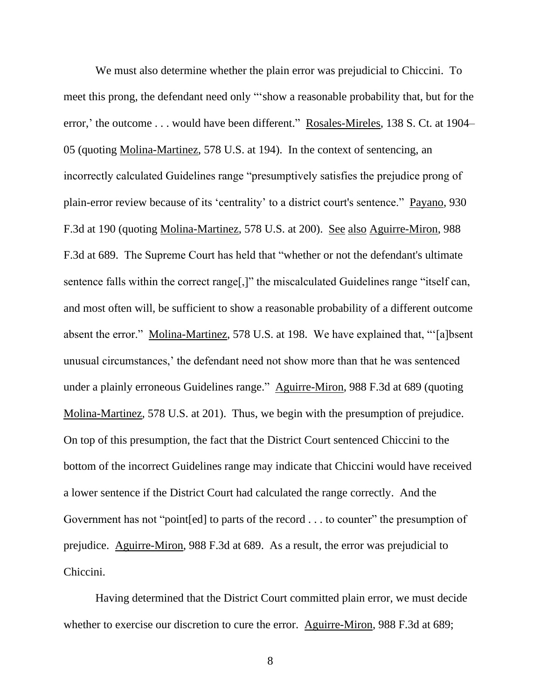We must also determine whether the plain error was prejudicial to Chiccini. To meet this prong, the defendant need only "'show a reasonable probability that, but for the error,' the outcome . . . would have been different." Rosales-Mireles, 138 S. Ct. at 1904– 05 (quoting Molina-Martinez, 578 U.S. at 194). In the context of sentencing, an incorrectly calculated Guidelines range "presumptively satisfies the prejudice prong of plain-error review because of its 'centrality' to a district court's sentence." Payano, 930 F.3d at 190 (quoting Molina-Martinez, 578 U.S. at 200). See also Aguirre-Miron, 988 F.3d at 689. The Supreme Court has held that "whether or not the defendant's ultimate sentence falls within the correct range<sup>[1]</sup>, the miscalculated Guidelines range "itself can, and most often will, be sufficient to show a reasonable probability of a different outcome absent the error." Molina-Martinez, 578 U.S. at 198. We have explained that, "'[a]bsent unusual circumstances,' the defendant need not show more than that he was sentenced under a plainly erroneous Guidelines range." Aguirre-Miron, 988 F.3d at 689 (quoting Molina-Martinez, 578 U.S. at 201). Thus, we begin with the presumption of prejudice. On top of this presumption, the fact that the District Court sentenced Chiccini to the bottom of the incorrect Guidelines range may indicate that Chiccini would have received a lower sentence if the District Court had calculated the range correctly. And the Government has not "point[ed] to parts of the record . . . to counter" the presumption of prejudice. Aguirre-Miron, 988 F.3d at 689. As a result, the error was prejudicial to Chiccini.

Having determined that the District Court committed plain error, we must decide whether to exercise our discretion to cure the error. Aguirre-Miron, 988 F.3d at 689;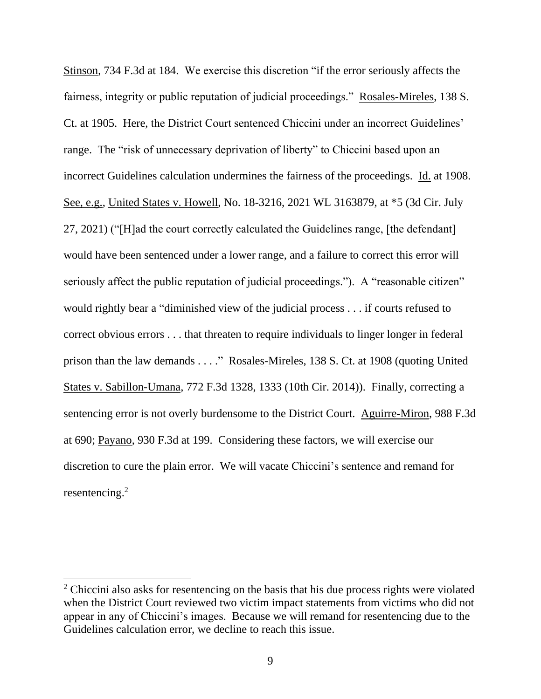Stinson, 734 F.3d at 184. We exercise this discretion "if the error seriously affects the fairness, integrity or public reputation of judicial proceedings." Rosales-Mireles, 138 S. Ct. at 1905. Here, the District Court sentenced Chiccini under an incorrect Guidelines' range. The "risk of unnecessary deprivation of liberty" to Chiccini based upon an incorrect Guidelines calculation undermines the fairness of the proceedings. Id. at 1908. See, e.g., United States v. Howell, No. 18-3216, 2021 WL 3163879, at \*5 (3d Cir. July 27, 2021) ("[H]ad the court correctly calculated the Guidelines range, [the defendant] would have been sentenced under a lower range, and a failure to correct this error will seriously affect the public reputation of judicial proceedings."). A "reasonable citizen" would rightly bear a "diminished view of the judicial process . . . if courts refused to correct obvious errors . . . that threaten to require individuals to linger longer in federal prison than the law demands . . . ." Rosales-Mireles, 138 S. Ct. at 1908 (quoting United States v. Sabillon-Umana, 772 F.3d 1328, 1333 (10th Cir. 2014)). Finally, correcting a sentencing error is not overly burdensome to the District Court. Aguirre-Miron, 988 F.3d at 690; Payano, 930 F.3d at 199. Considering these factors, we will exercise our discretion to cure the plain error. We will vacate Chiccini's sentence and remand for resentencing. 2

 $2$  Chiccini also asks for resentencing on the basis that his due process rights were violated when the District Court reviewed two victim impact statements from victims who did not appear in any of Chiccini's images. Because we will remand for resentencing due to the Guidelines calculation error, we decline to reach this issue.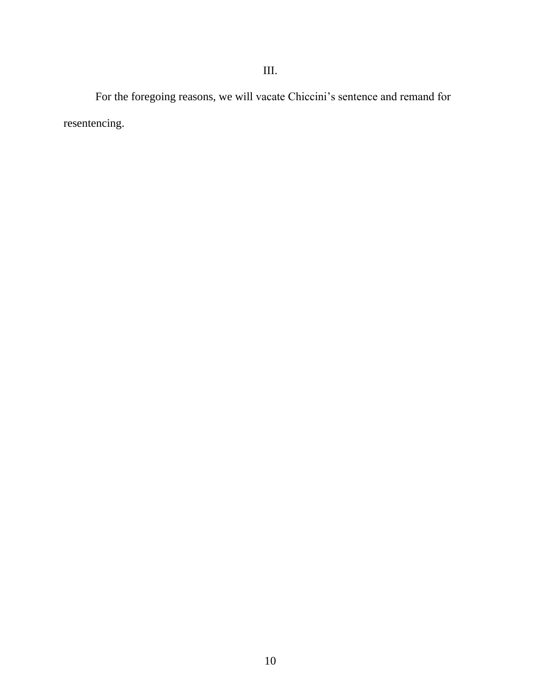For the foregoing reasons, we will vacate Chiccini's sentence and remand for resentencing.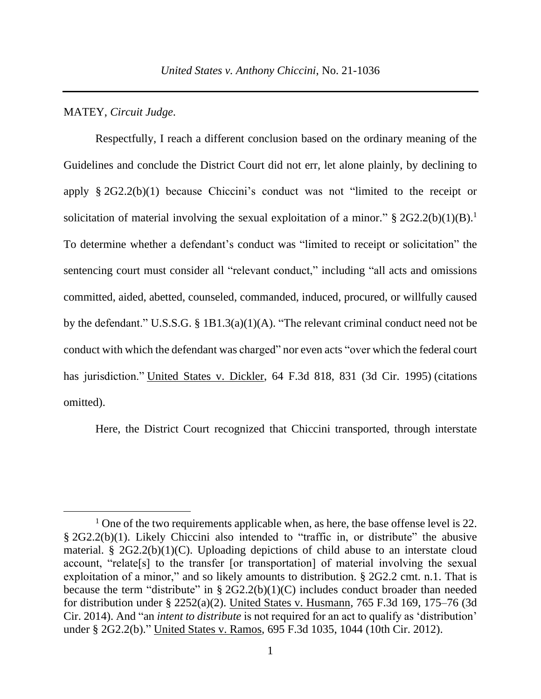### MATEY, *Circuit Judge*.

Respectfully, I reach a different conclusion based on the ordinary meaning of the Guidelines and conclude the District Court did not err, let alone plainly, by declining to apply § 2G2.2(b)(1) because Chiccini's conduct was not "limited to the receipt or solicitation of material involving the sexual exploitation of a minor."  $\S 2G2.2(b)(1)(B)$ . To determine whether a defendant's conduct was "limited to receipt or solicitation" the sentencing court must consider all "relevant conduct," including "all acts and omissions committed, aided, abetted, counseled, commanded, induced, procured, or willfully caused by the defendant." U.S.S.G. § 1B1.3(a)(1)(A). "The relevant criminal conduct need not be conduct with which the defendant was charged" nor even acts "over which the federal court has jurisdiction." United States v. Dickler, 64 F.3d 818, 831 (3d Cir. 1995) (citations omitted).

Here, the District Court recognized that Chiccini transported, through interstate

<sup>&</sup>lt;sup>1</sup> One of the two requirements applicable when, as here, the base offense level is 22. § 2G2.2(b)(1). Likely Chiccini also intended to "traffic in, or distribute" the abusive material. §  $2G2.2(b)(1)(C)$ . Uploading depictions of child abuse to an interstate cloud account, "relate[s] to the transfer [or transportation] of material involving the sexual exploitation of a minor," and so likely amounts to distribution. § 2G2.2 cmt. n.1. That is because the term "distribute" in  $\S 2G2.2(b)(1)(C)$  includes conduct broader than needed for distribution under § 2252(a)(2). United States v. Husmann, 765 F.3d 169, 175–76 (3d Cir. 2014). And "an *intent to distribute* is not required for an act to qualify as 'distribution' under § 2G2.2(b)." United States v. Ramos, 695 F.3d 1035, 1044 (10th Cir. 2012).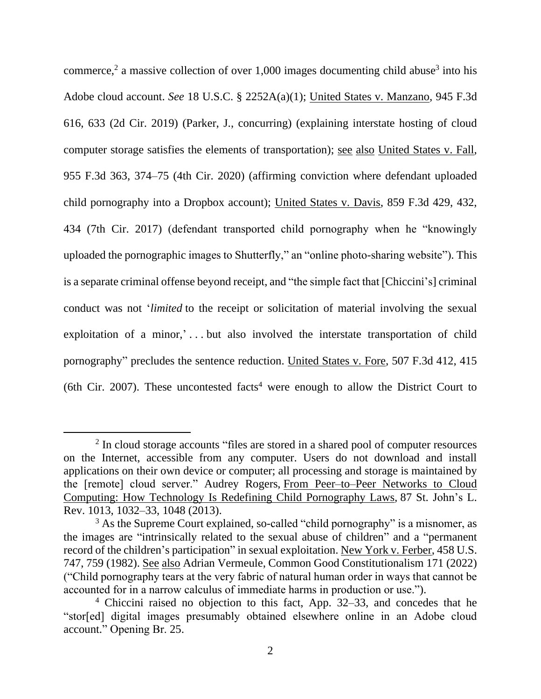commerce,<sup>2</sup> a massive collection of over 1,000 images documenting child abuse<sup>3</sup> into his Adobe cloud account. *See* 18 U.S.C. § 2252A(a)(1); United States v. Manzano, 945 F.3d 616, 633 (2d Cir. 2019) (Parker, J., concurring) (explaining interstate hosting of cloud computer storage satisfies the elements of transportation); see also United States v. Fall, 955 F.3d 363, 374–75 (4th Cir. 2020) (affirming conviction where defendant uploaded child pornography into a Dropbox account); United States v. Davis, 859 F.3d 429, 432, 434 (7th Cir. 2017) (defendant transported child pornography when he "knowingly uploaded the pornographic images to Shutterfly," an "online photo-sharing website"). This is a separate criminal offense beyond receipt, and "the simple fact that [Chiccini's] criminal conduct was not '*limited* to the receipt or solicitation of material involving the sexual exploitation of a minor,'...but also involved the interstate transportation of child pornography" precludes the sentence reduction. United States v. Fore, 507 F.3d 412, 415 (6th Cir. 2007). These uncontested facts<sup>4</sup> were enough to allow the District Court to

<sup>&</sup>lt;sup>2</sup> In cloud storage accounts "files are stored in a shared pool of computer resources on the Internet, accessible from any computer. Users do not download and install applications on their own device or computer; all processing and storage is maintained by the [remote] cloud server." Audrey Rogers, From Peer–to–Peer Networks to Cloud Computing: How Technology Is Redefining Child Pornography Laws*,* 87 St. John's L. Rev. 1013, 1032–33, 1048 (2013).

<sup>&</sup>lt;sup>3</sup> As the Supreme Court explained, so-called "child pornography" is a misnomer, as the images are "intrinsically related to the sexual abuse of children" and a "permanent record of the children's participation" in sexual exploitation. New York v. Ferber, 458 U.S. 747, 759 (1982). See also Adrian Vermeule, Common Good Constitutionalism 171 (2022) ("Child pornography tears at the very fabric of natural human order in ways that cannot be accounted for in a narrow calculus of immediate harms in production or use.").

<sup>4</sup> Chiccini raised no objection to this fact, App. 32–33, and concedes that he "stor[ed] digital images presumably obtained elsewhere online in an Adobe cloud account." Opening Br. 25.